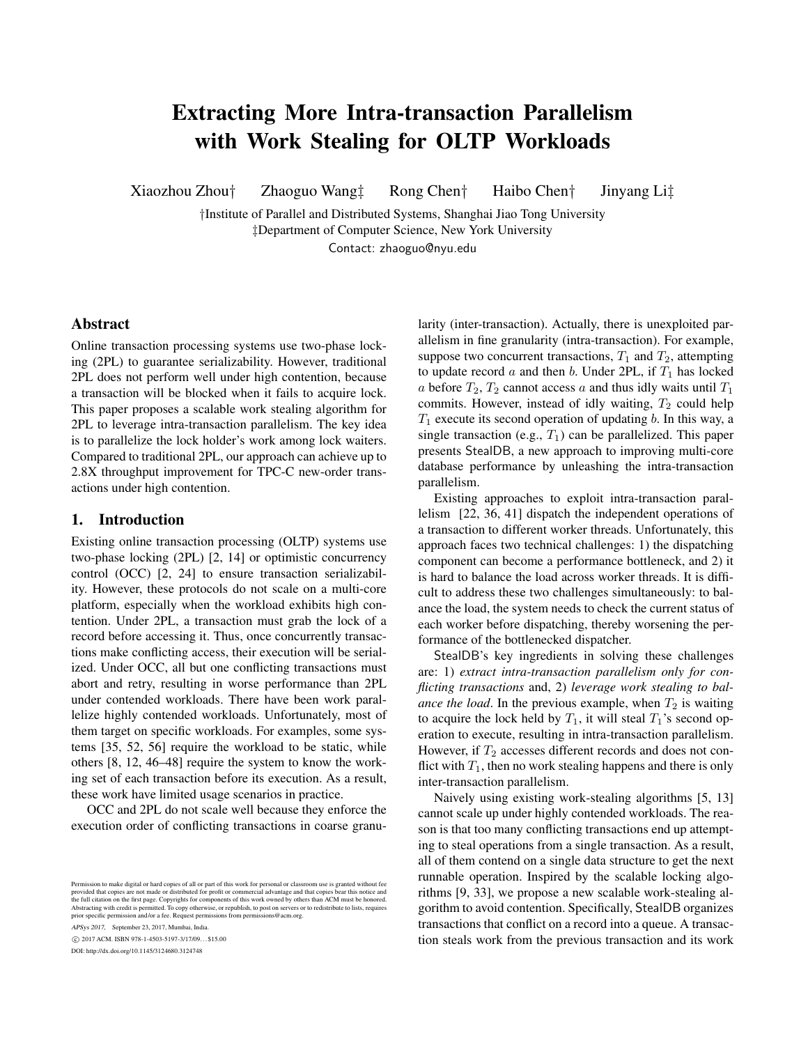# Extracting More Intra-transaction Parallelism with Work Stealing for OLTP Workloads

Xiaozhou Zhou† Zhaoguo Wang‡ Rong Chen† Haibo Chen† Jinyang Li‡

†Institute of Parallel and Distributed Systems, Shanghai Jiao Tong University ‡Department of Computer Science, New York University Contact: zhaoguo@nyu.edu

# Abstract

Online transaction processing systems use two-phase locking (2PL) to guarantee serializability. However, traditional 2PL does not perform well under high contention, because a transaction will be blocked when it fails to acquire lock. This paper proposes a scalable work stealing algorithm for 2PL to leverage intra-transaction parallelism. The key idea is to parallelize the lock holder's work among lock waiters. Compared to traditional 2PL, our approach can achieve up to 2.8X throughput improvement for TPC-C new-order transactions under high contention.

## 1. Introduction

Existing online transaction processing (OLTP) systems use two-phase locking (2PL) [2, 14] or optimistic concurrency control (OCC) [2, 24] to ensure transaction serializability. However, these protocols do not scale on a multi-core platform, especially when the workload exhibits high contention. Under 2PL, a transaction must grab the lock of a record before accessing it. Thus, once concurrently transactions make conflicting access, their execution will be serialized. Under OCC, all but one conflicting transactions must abort and retry, resulting in worse performance than 2PL under contended workloads. There have been work parallelize highly contended workloads. Unfortunately, most of them target on specific workloads. For examples, some systems [35, 52, 56] require the workload to be static, while others [8, 12, 46–48] require the system to know the working set of each transaction before its execution. As a result, these work have limited usage scenarios in practice.

OCC and 2PL do not scale well because they enforce the execution order of conflicting transactions in coarse granu-

APSys 2017, September 23, 2017, Mumbai, India.

c 2017 ACM. ISBN 978-1-4503-5197-3/17/09. . . \$15.00

DOI: http://dx.doi.org/10.1145/3124680.3124748

larity (inter-transaction). Actually, there is unexploited parallelism in fine granularity (intra-transaction). For example, suppose two concurrent transactions,  $T_1$  and  $T_2$ , attempting to update record a and then b. Under 2PL, if  $T_1$  has locked a before  $T_2$ ,  $T_2$  cannot access a and thus idly waits until  $T_1$ commits. However, instead of idly waiting,  $T_2$  could help  $T_1$  execute its second operation of updating b. In this way, a single transaction (e.g.,  $T_1$ ) can be parallelized. This paper presents StealDB, a new approach to improving multi-core database performance by unleashing the intra-transaction parallelism.

Existing approaches to exploit intra-transaction parallelism [22, 36, 41] dispatch the independent operations of a transaction to different worker threads. Unfortunately, this approach faces two technical challenges: 1) the dispatching component can become a performance bottleneck, and 2) it is hard to balance the load across worker threads. It is difficult to address these two challenges simultaneously: to balance the load, the system needs to check the current status of each worker before dispatching, thereby worsening the performance of the bottlenecked dispatcher.

StealDB's key ingredients in solving these challenges are: 1) *extract intra-transaction parallelism only for conflicting transactions* and, 2) *leverage work stealing to balance the load*. In the previous example, when  $T_2$  is waiting to acquire the lock held by  $T_1$ , it will steal  $T_1$ 's second operation to execute, resulting in intra-transaction parallelism. However, if  $T_2$  accesses different records and does not conflict with  $T_1$ , then no work stealing happens and there is only inter-transaction parallelism.

Naively using existing work-stealing algorithms [5, 13] cannot scale up under highly contended workloads. The reason is that too many conflicting transactions end up attempting to steal operations from a single transaction. As a result, all of them contend on a single data structure to get the next runnable operation. Inspired by the scalable locking algorithms [9, 33], we propose a new scalable work-stealing algorithm to avoid contention. Specifically, StealDB organizes transactions that conflict on a record into a queue. A transaction steals work from the previous transaction and its work

Permission to make digital or hard copies of all or part of this work for personal or classroom use is granted without fee<br>provided that copies are not made or distributed for profit or commercial advantage and that copies the full citation on the first page. Copyrights for components of this work owned by others than ACM must be honored.<br>Abstracting with credit is permitted. To copy otherwise, or republish, to post on servers or to redistri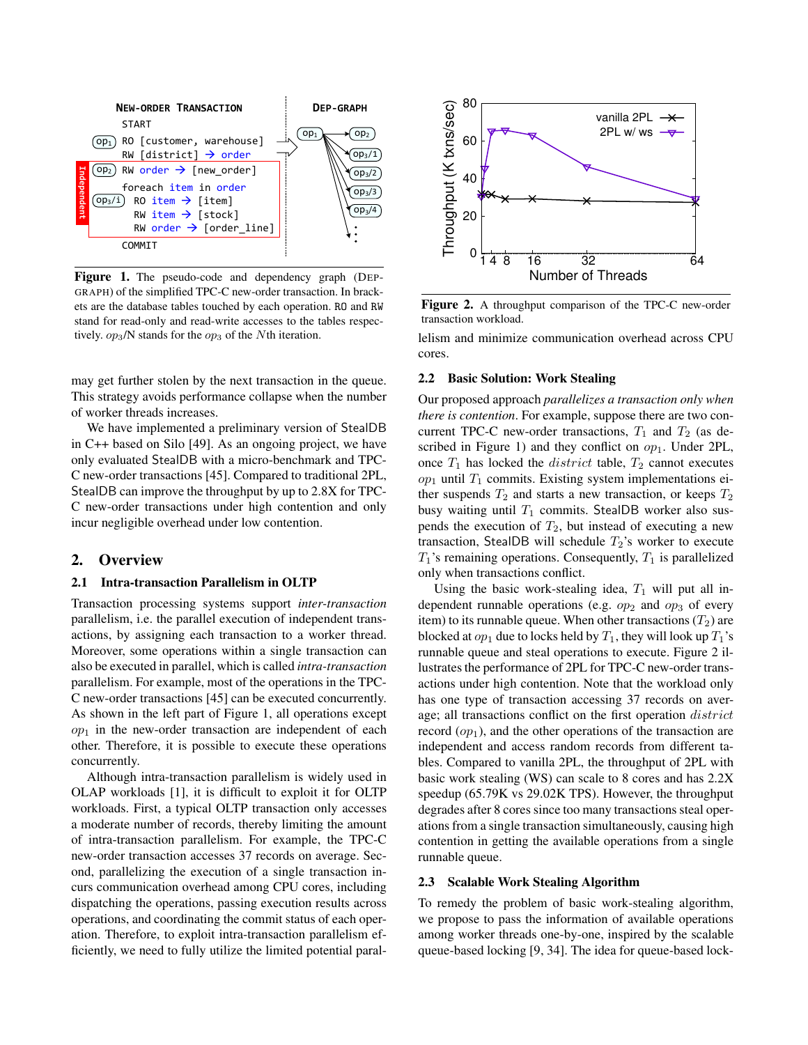

Figure 1. The pseudo-code and dependency graph (DEP-GRAPH) of the simplified TPC-C new-order transaction. In brackets are the database tables touched by each operation. RO and RW stand for read-only and read-write accesses to the tables respectively.  $op_3/N$  stands for the  $op_3$  of the Nth iteration.

may get further stolen by the next transaction in the queue. This strategy avoids performance collapse when the number of worker threads increases.

We have implemented a preliminary version of StealDB in C++ based on Silo [49]. As an ongoing project, we have only evaluated StealDB with a micro-benchmark and TPC-C new-order transactions [45]. Compared to traditional 2PL, StealDB can improve the throughput by up to 2.8X for TPC-C new-order transactions under high contention and only incur negligible overhead under low contention.

#### 2. Overview

#### 2.1 Intra-transaction Parallelism in OLTP

Transaction processing systems support *inter-transaction* parallelism, i.e. the parallel execution of independent transactions, by assigning each transaction to a worker thread. Moreover, some operations within a single transaction can also be executed in parallel, which is called *intra-transaction* parallelism. For example, most of the operations in the TPC-C new-order transactions [45] can be executed concurrently. As shown in the left part of Figure 1, all operations except  $op<sub>1</sub>$  in the new-order transaction are independent of each other. Therefore, it is possible to execute these operations concurrently.

Although intra-transaction parallelism is widely used in OLAP workloads [1], it is difficult to exploit it for OLTP workloads. First, a typical OLTP transaction only accesses a moderate number of records, thereby limiting the amount of intra-transaction parallelism. For example, the TPC-C new-order transaction accesses 37 records on average. Second, parallelizing the execution of a single transaction incurs communication overhead among CPU cores, including dispatching the operations, passing execution results across operations, and coordinating the commit status of each operation. Therefore, to exploit intra-transaction parallelism efficiently, we need to fully utilize the limited potential paral-



Figure 2. A throughput comparison of the TPC-C new-order transaction workload.

lelism and minimize communication overhead across CPU cores.

## 2.2 Basic Solution: Work Stealing

Our proposed approach *parallelizes a transaction only when there is contention*. For example, suppose there are two concurrent TPC-C new-order transactions,  $T_1$  and  $T_2$  (as described in Figure 1) and they conflict on  $op_1$ . Under 2PL, once  $T_1$  has locked the *district* table,  $T_2$  cannot executes  $op<sub>1</sub>$  until  $T<sub>1</sub>$  commits. Existing system implementations either suspends  $T_2$  and starts a new transaction, or keeps  $T_2$ busy waiting until  $T_1$  commits. StealDB worker also suspends the execution of  $T_2$ , but instead of executing a new transaction, StealDB will schedule  $T_2$ 's worker to execute  $T_1$ 's remaining operations. Consequently,  $T_1$  is parallelized only when transactions conflict.

Using the basic work-stealing idea,  $T_1$  will put all independent runnable operations (e.g.  $op_2$  and  $op_3$  of every item) to its runnable queue. When other transactions  $(T_2)$  are blocked at  $op_1$  due to locks held by  $T_1$ , they will look up  $T_1$ 's runnable queue and steal operations to execute. Figure 2 illustrates the performance of 2PL for TPC-C new-order transactions under high contention. Note that the workload only has one type of transaction accessing 37 records on average; all transactions conflict on the first operation district record  $(op_1)$ , and the other operations of the transaction are independent and access random records from different tables. Compared to vanilla 2PL, the throughput of 2PL with basic work stealing (WS) can scale to 8 cores and has 2.2X speedup (65.79K vs 29.02K TPS). However, the throughput degrades after 8 cores since too many transactions steal operations from a single transaction simultaneously, causing high contention in getting the available operations from a single runnable queue.

### 2.3 Scalable Work Stealing Algorithm

To remedy the problem of basic work-stealing algorithm, we propose to pass the information of available operations among worker threads one-by-one, inspired by the scalable queue-based locking [9, 34]. The idea for queue-based lock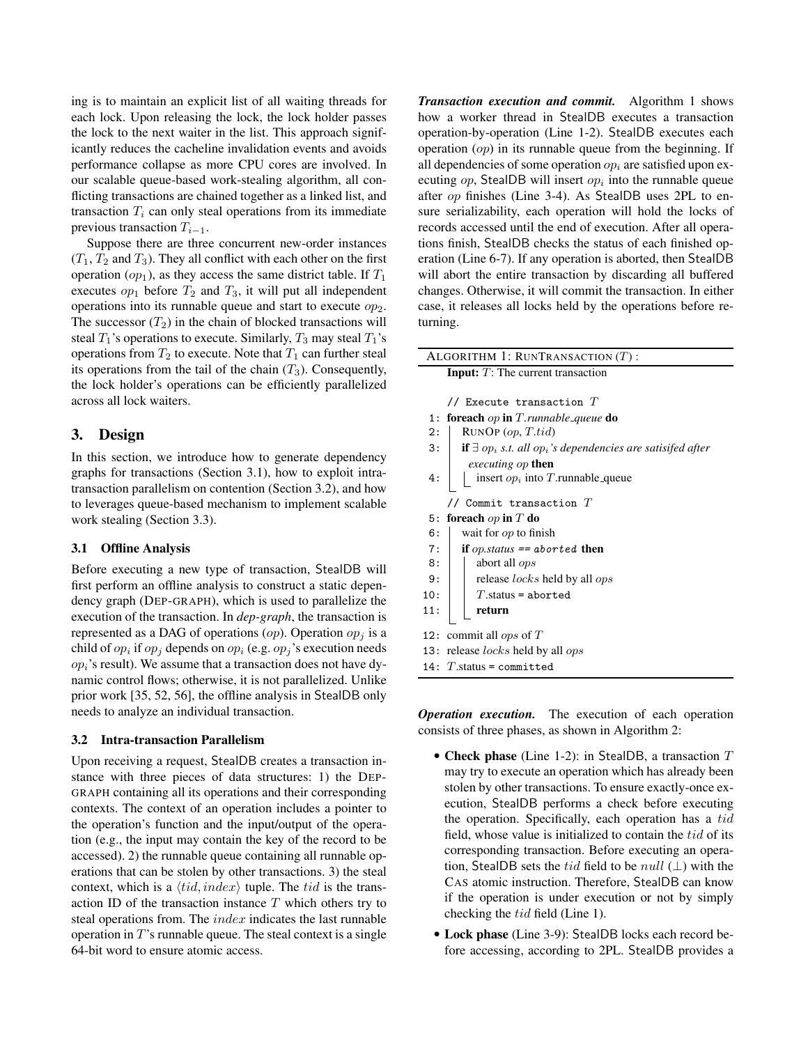ing is to maintain an explicit list of all waiting threads for each lock. Upon releasing the lock, the lock holder passes the lock to the next waiter in the list. This approach significantly reduces the cacheline invalidation events and avoids performance collapse as more CPU cores are involved. In our scalable queue-based work-stealing algorithm, all conflicting transactions are chained together as a linked list, and transaction  $T_i$  can only steal operations from its immediate previous transaction  $T_{i-1}$ .

Suppose there are three concurrent new-order instances  $(T_1, T_2, T_3)$ . They all conflict with each other on the first operation  $(op_1)$ , as they access the same district table. If  $T_1$ executes  $op_1$  before  $T_2$  and  $T_3$ , it will put all independent operations into its runnable queue and start to execute  $op<sub>2</sub>$ . The successor  $(T_2)$  in the chain of blocked transactions will steal  $T_1$ 's operations to execute. Similarly,  $T_3$  may steal  $T_1$ 's operations from  $T_2$  to execute. Note that  $T_1$  can further steal its operations from the tail of the chain  $(T_3)$ . Consequently, the lock holder's operations can be efficiently parallelized across all lock waiters.

# 3. Design

In this section, we introduce how to generate dependency graphs for transactions (Section 3.1), how to exploit intratransaction parallelism on contention (Section 3.2), and how to leverages queue-based mechanism to implement scalable work stealing (Section 3.3).

#### 3.1 Offline Analysis

Before executing a new type of transaction, StealDB will first perform an offline analysis to construct a static dependency graph (DEP-GRAPH), which is used to parallelize the execution of the transaction. In *dep-graph*, the transaction is represented as a DAG of operations (*op*). Operation  $op<sub>j</sub>$  is a child of  $op_i$  if  $op_j$  depends on  $op_i$  (e.g.  $op_j$ 's execution needs  $op<sub>i</sub>$ 's result). We assume that a transaction does not have dynamic control flows; otherwise, it is not parallelized. Unlike prior work [35, 52, 56], the offline analysis in StealDB only needs to analyze an individual transaction.

#### 3.2 Intra-transaction Parallelism

Upon receiving a request, StealDB creates a transaction instance with three pieces of data structures: 1) the DEP-GRAPH containing all its operations and their corresponding contexts. The context of an operation includes a pointer to the operation's function and the input/output of the operation (e.g., the input may contain the key of the record to be accessed). 2) the runnable queue containing all runnable operations that can be stolen by other transactions. 3) the steal context, which is a  $\langle tid, index \rangle$  tuple. The tid is the transaction ID of the transaction instance  $T$  which others try to steal operations from. The *index* indicates the last runnable operation in  $T$ 's runnable queue. The steal context is a single 64-bit word to ensure atomic access.

*Transaction execution and commit.* Algorithm 1 shows how a worker thread in StealDB executes a transaction operation-by-operation (Line 1-2). StealDB executes each operation  $(op)$  in its runnable queue from the beginning. If all dependencies of some operation  $op_i$  are satisfied upon executing  $op$ , StealDB will insert  $op_i$  into the runnable queue after op finishes (Line 3-4). As StealDB uses 2PL to ensure serializability, each operation will hold the locks of records accessed until the end of execution. After all operations finish, StealDB checks the status of each finished operation (Line 6-7). If any operation is aborted, then StealDB will abort the entire transaction by discarding all buffered changes. Otherwise, it will commit the transaction. In either case, it releases all locks held by the operations before returning.

| ALGORITHM 1: RUNTRANSACTION $(T)$ :                                                                    |  |  |  |  |  |
|--------------------------------------------------------------------------------------------------------|--|--|--|--|--|
| <b>Input:</b> $T$ : The current transaction                                                            |  |  |  |  |  |
|                                                                                                        |  |  |  |  |  |
| // Execute transaction $T$                                                                             |  |  |  |  |  |
| 1: <b>foreach</b> op <b>in</b> $T$ . <i>runnable queue</i> <b>do</b>                                   |  |  |  |  |  |
| $\text{RUNOP}(op, T.tid)$<br>2:                                                                        |  |  |  |  |  |
| 3:<br><b>if</b> $\exists$ op <sub>i</sub> s.t. all op <sub>i</sub> 's dependencies are satisifed after |  |  |  |  |  |
| <i>executing op</i> then                                                                               |  |  |  |  |  |
| insert $op_i$ into T.runnable queue<br>4:                                                              |  |  |  |  |  |
|                                                                                                        |  |  |  |  |  |
| Commit transaction $T$                                                                                 |  |  |  |  |  |
| foreach $op$ in $T$ do<br>5:                                                                           |  |  |  |  |  |
| wait for $op$ to finish<br>6:                                                                          |  |  |  |  |  |
| 7:<br>if <i>op.status</i> == $aborted$ then                                                            |  |  |  |  |  |
| abort all <i>ops</i><br>8:                                                                             |  |  |  |  |  |
| release locks held by all ops<br>9:                                                                    |  |  |  |  |  |
| $T$ .status = aborted<br>10:                                                                           |  |  |  |  |  |
| 11:<br>return                                                                                          |  |  |  |  |  |
|                                                                                                        |  |  |  |  |  |
| commit all <i>ops</i> of $T$<br>12:                                                                    |  |  |  |  |  |
| 13: release <i>locks</i> held by all <i>ops</i>                                                        |  |  |  |  |  |
| 14: $T$ status = committed                                                                             |  |  |  |  |  |

*Operation execution.* The execution of each operation consists of three phases, as shown in Algorithm 2:

- Check phase (Line 1-2): in StealDB, a transaction  $T$ may try to execute an operation which has already been stolen by other transactions. To ensure exactly-once execution, StealDB performs a check before executing the operation. Specifically, each operation has a tid field, whose value is initialized to contain the  $tid$  of its corresponding transaction. Before executing an operation, StealDB sets the tid field to be null  $(\perp)$  with the CAS atomic instruction. Therefore, StealDB can know if the operation is under execution or not by simply checking the tid field (Line 1).
- Lock phase (Line 3-9): StealDB locks each record before accessing, according to 2PL. StealDB provides a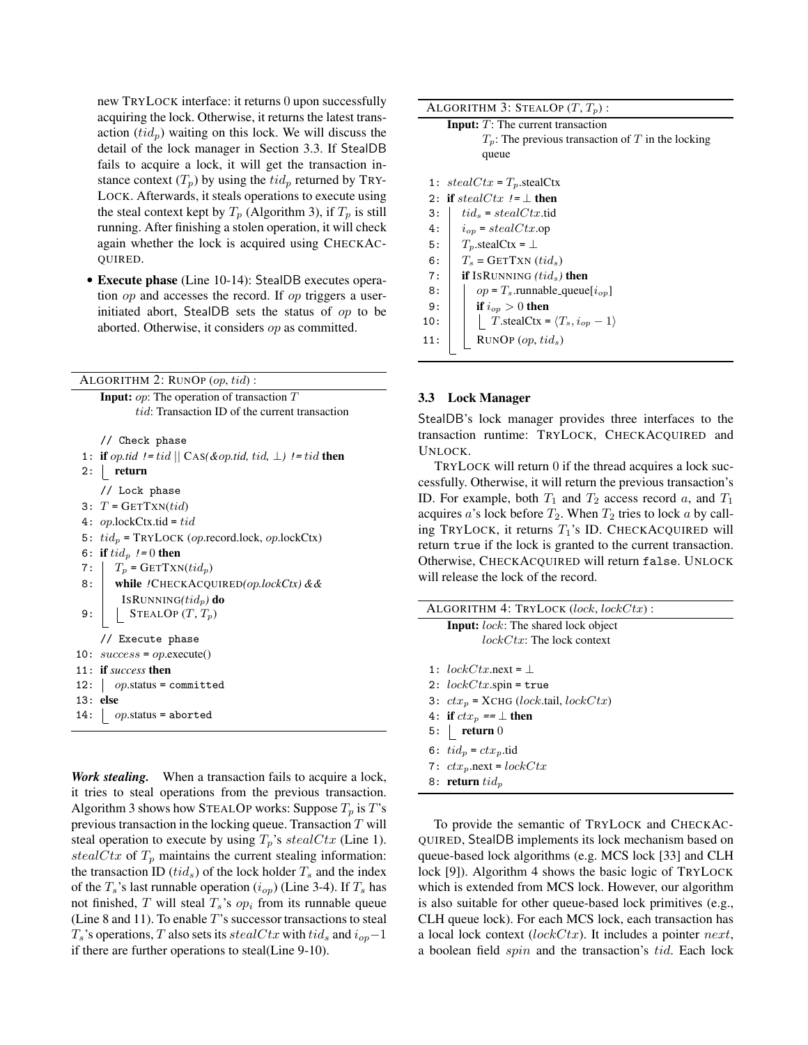new TRYLOCK interface: it returns 0 upon successfully acquiring the lock. Otherwise, it returns the latest transaction  $(tid_n)$  waiting on this lock. We will discuss the detail of the lock manager in Section 3.3. If StealDB fails to acquire a lock, it will get the transaction instance context  $(T_n)$  by using the  $tid_n$  returned by TRY-LOCK. Afterwards, it steals operations to execute using the steal context kept by  $T_p$  (Algorithm 3), if  $T_p$  is still running. After finishing a stolen operation, it will check again whether the lock is acquired using CHECKAC-QUIRED.

• Execute phase (Line 10-14): StealDB executes operation op and accesses the record. If op triggers a userinitiated abort, StealDB sets the status of op to be aborted. Otherwise, it considers op as committed.

ALGORITHM  $2$ : RUNOP  $(op, tid)$ :

**Input:**  $op$ : The operation of transaction  $T$ tid: Transaction ID of the current transaction

// Check phase

|     | 1: if op.tid != tid $\parallel$ CAS(&op.tid, tid, $\perp$ ) != tid then |
|-----|-------------------------------------------------------------------------|
| 2:  | return                                                                  |
|     | // Lock phase                                                           |
|     | 3: $T = \text{GETT}(\text{xi})$                                         |
|     | 4: op.lockCtx.tid = tid                                                 |
|     | 5: $tid_p$ = TRYLOCK ( <i>op.record.lock, op.lockCtx</i> )              |
|     | 6: if $tid_n$ != 0 then                                                 |
| 7:1 | $T_p$ = GETTXN( $tid_p$ )                                               |
| 8:  | while !CHECKACQUIRED(op.lockCtx) & &                                    |
|     | ISRUNNING $(tid_n)$ do                                                  |
| 9:  | STEALOP $(T, T_p)$                                                      |
|     | // Execute phase                                                        |
|     | 10: $success = op$ . execute()                                          |
|     | 11: if success then                                                     |
|     | 12: $op. status = committed$                                            |
|     | 13: else                                                                |
| 14: | $op.\text{status} = \texttt{aborted}$                                   |

*Work stealing.* When a transaction fails to acquire a lock, it tries to steal operations from the previous transaction. Algorithm 3 shows how STEALOP works: Suppose  $T_p$  is T's previous transaction in the locking queue. Transaction  $T$  will steal operation to execute by using  $T_p$ 's stealCtx (Line 1). stealCtx of  $T_p$  maintains the current stealing information: the transaction ID (tid<sub>s</sub>) of the lock holder  $T_s$  and the index of the  $T_s$ 's last runnable operation  $(i_{op})$  (Line 3-4). If  $T_s$  has not finished, T will steal  $T_s$ 's  $op_i$  from its runnable queue (Line 8 and 11). To enable  $T$ 's successor transactions to steal  $T_s$ 's operations, T also sets its stealCtx with tid<sub>s</sub> and  $i_{op}$ -1 if there are further operations to steal(Line 9-10).

| ALGORITHM 3: STEALOP $(T, T_p)$ : |  |  |  |  |  |
|-----------------------------------|--|--|--|--|--|
|-----------------------------------|--|--|--|--|--|

| <b>Input:</b> $T$ : The current transaction          |
|------------------------------------------------------|
| $T_p$ : The previous transaction of T in the locking |
| queue                                                |
|                                                      |
| 1: $stealCtx = T_n.stealCtx$                         |
| 2: if stealCtx $!=\perp$ then                        |
| $tid_s = stealCtx.tid$                               |
| $i_{op}$ = stealCtx.op                               |
| $T_n$ .stealCtx = $\perp$                            |
| $T_s = \text{GETT}$ XN $(id_s)$                      |
| <b>if</b> ISRUNNING $(tid_s)$ then                   |
| $op = T_s$ .runnable_queue[ $i_{op}$ ]               |
| if $i_{\alpha p} > 0$ then                           |
| T.stealCtx = $\langle T_s, i_{op} - 1 \rangle$       |
| RUNOP $(op, tid_s)$                                  |
|                                                      |

## 3.3 Lock Manager

StealDB's lock manager provides three interfaces to the transaction runtime: TRYLOCK, CHECKACQUIRED and UNLOCK.

TRYLOCK will return 0 if the thread acquires a lock successfully. Otherwise, it will return the previous transaction's ID. For example, both  $T_1$  and  $T_2$  access record a, and  $T_1$ acquires a's lock before  $T_2$ . When  $T_2$  tries to lock a by calling TRYLOCK, it returns  $T_1$ 's ID. CHECKACQUIRED will return true if the lock is granted to the current transaction. Otherwise, CHECKACQUIRED will return false. UNLOCK will release the lock of the record.

| ALGORITHM 4: TRYLOCK $(lock, lockCx)$ :    |
|--------------------------------------------|
| <b>Input:</b> lock: The shared lock object |
| $lockCtx$ : The lock context               |
|                                            |
| 1: $lockCtx.next = \bot$                   |
| 2: $lockCtx$ spin = true                   |
| 3: $ctxp$ = XCHG (lock.tail, lockC $tx$ )  |
| 4: if $ctx$ == $\perp$ then                |
| $5:$ return 0                              |
| 6: $tid_n = ctx_n$ .tid                    |
| 7: $ctx$ <sub>n</sub> .next = lockCtx      |
| 8: return $tid_n$                          |

To provide the semantic of TRYLOCK and CHECKAC-QUIRED, StealDB implements its lock mechanism based on queue-based lock algorithms (e.g. MCS lock [33] and CLH lock [9]). Algorithm 4 shows the basic logic of TRYLOCK which is extended from MCS lock. However, our algorithm is also suitable for other queue-based lock primitives (e.g., CLH queue lock). For each MCS lock, each transaction has a local lock context ( $lockCtx$ ). It includes a pointer next, a boolean field spin and the transaction's tid. Each lock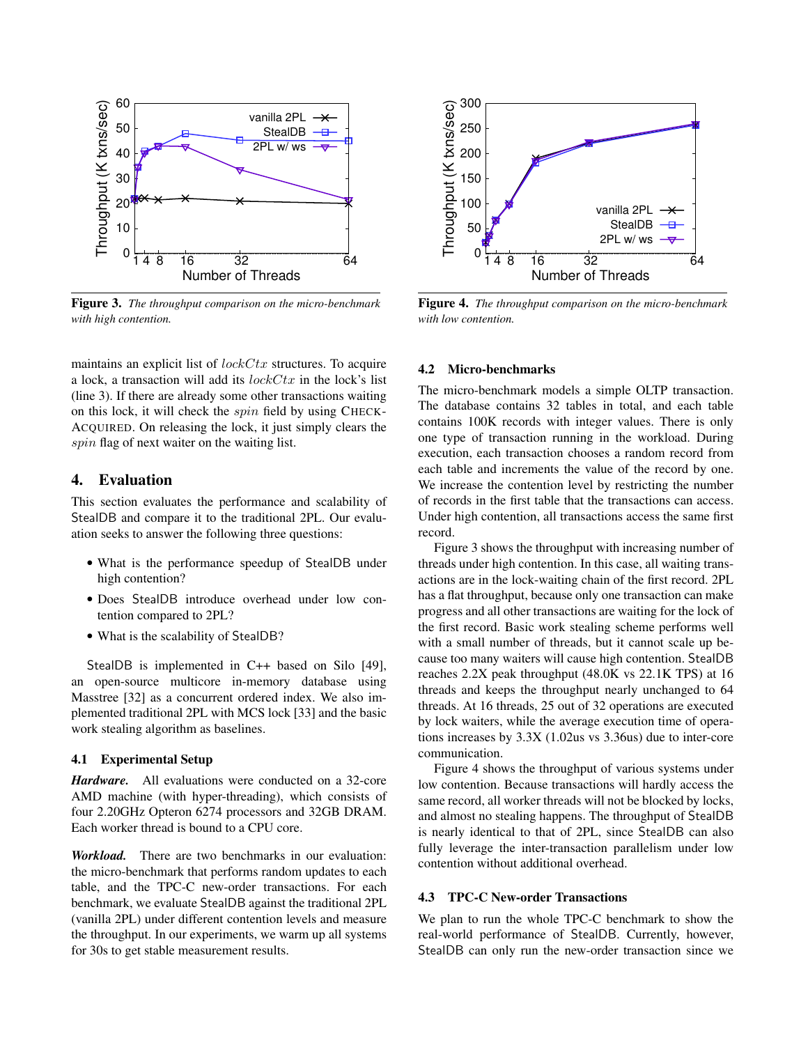

Figure 3. *The throughput comparison on the micro-benchmark with high contention.*

maintains an explicit list of  $lockCtx$  structures. To acquire a lock, a transaction will add its  $lockCtx$  in the lock's list (line 3). If there are already some other transactions waiting on this lock, it will check the spin field by using CHECK-ACQUIRED. On releasing the lock, it just simply clears the spin flag of next waiter on the waiting list.

## 4. Evaluation

This section evaluates the performance and scalability of StealDB and compare it to the traditional 2PL. Our evaluation seeks to answer the following three questions:

- What is the performance speedup of StealDB under high contention?
- Does StealDB introduce overhead under low contention compared to 2PL?
- What is the scalability of StealDB?

StealDB is implemented in C++ based on Silo [49], an open-source multicore in-memory database using Masstree [32] as a concurrent ordered index. We also implemented traditional 2PL with MCS lock [33] and the basic work stealing algorithm as baselines.

## 4.1 Experimental Setup

*Hardware.* All evaluations were conducted on a 32-core AMD machine (with hyper-threading), which consists of four 2.20GHz Opteron 6274 processors and 32GB DRAM. Each worker thread is bound to a CPU core.

*Workload.* There are two benchmarks in our evaluation: the micro-benchmark that performs random updates to each table, and the TPC-C new-order transactions. For each benchmark, we evaluate StealDB against the traditional 2PL (vanilla 2PL) under different contention levels and measure the throughput. In our experiments, we warm up all systems for 30s to get stable measurement results.



Figure 4. *The throughput comparison on the micro-benchmark with low contention.*

## 4.2 Micro-benchmarks

The micro-benchmark models a simple OLTP transaction. The database contains 32 tables in total, and each table contains 100K records with integer values. There is only one type of transaction running in the workload. During execution, each transaction chooses a random record from each table and increments the value of the record by one. We increase the contention level by restricting the number of records in the first table that the transactions can access. Under high contention, all transactions access the same first record.

Figure 3 shows the throughput with increasing number of threads under high contention. In this case, all waiting transactions are in the lock-waiting chain of the first record. 2PL has a flat throughput, because only one transaction can make progress and all other transactions are waiting for the lock of the first record. Basic work stealing scheme performs well with a small number of threads, but it cannot scale up because too many waiters will cause high contention. StealDB reaches 2.2X peak throughput (48.0K vs 22.1K TPS) at 16 threads and keeps the throughput nearly unchanged to 64 threads. At 16 threads, 25 out of 32 operations are executed by lock waiters, while the average execution time of operations increases by 3.3X (1.02us vs 3.36us) due to inter-core communication.

Figure 4 shows the throughput of various systems under low contention. Because transactions will hardly access the same record, all worker threads will not be blocked by locks, and almost no stealing happens. The throughput of StealDB is nearly identical to that of 2PL, since StealDB can also fully leverage the inter-transaction parallelism under low contention without additional overhead.

## 4.3 TPC-C New-order Transactions

We plan to run the whole TPC-C benchmark to show the real-world performance of StealDB. Currently, however, StealDB can only run the new-order transaction since we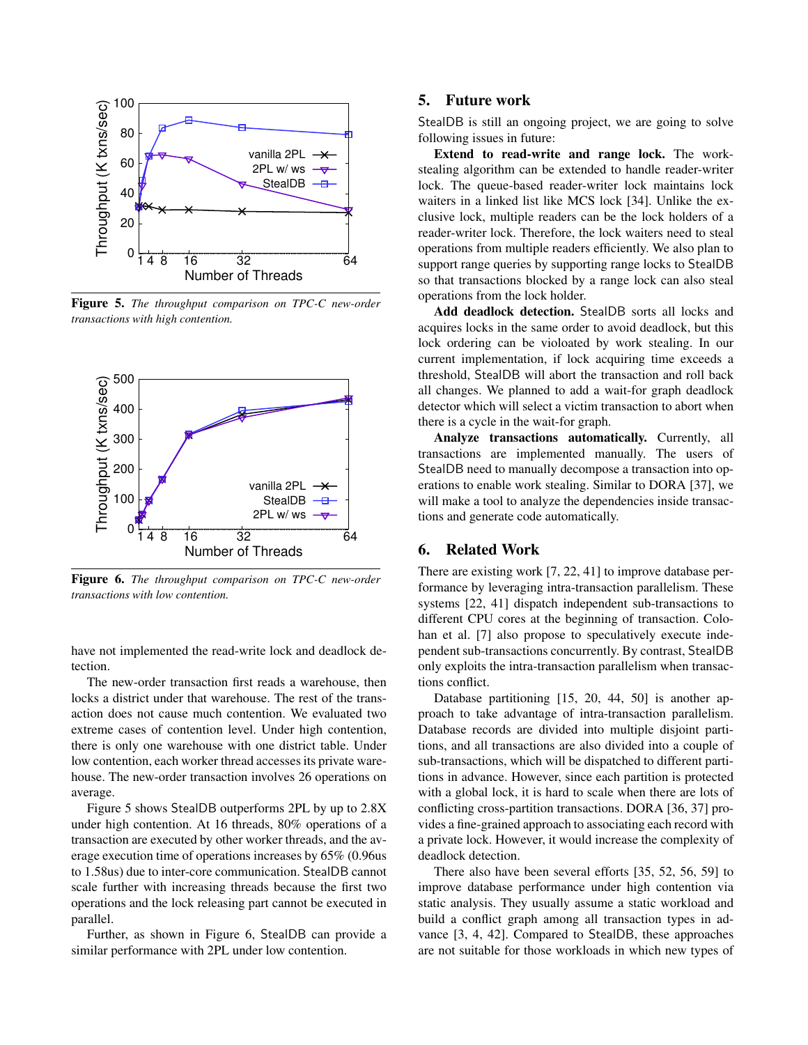

Figure 5. *The throughput comparison on TPC-C new-order transactions with high contention.*



Figure 6. *The throughput comparison on TPC-C new-order transactions with low contention.*

have not implemented the read-write lock and deadlock detection.

The new-order transaction first reads a warehouse, then locks a district under that warehouse. The rest of the transaction does not cause much contention. We evaluated two extreme cases of contention level. Under high contention, there is only one warehouse with one district table. Under low contention, each worker thread accesses its private warehouse. The new-order transaction involves 26 operations on average.

Figure 5 shows StealDB outperforms 2PL by up to 2.8X under high contention. At 16 threads, 80% operations of a transaction are executed by other worker threads, and the average execution time of operations increases by 65% (0.96us to 1.58us) due to inter-core communication. StealDB cannot scale further with increasing threads because the first two operations and the lock releasing part cannot be executed in parallel.

Further, as shown in Figure 6, StealDB can provide a similar performance with 2PL under low contention.

## 5. Future work

StealDB is still an ongoing project, we are going to solve following issues in future:

Extend to read-write and range lock. The workstealing algorithm can be extended to handle reader-writer lock. The queue-based reader-writer lock maintains lock waiters in a linked list like MCS lock [34]. Unlike the exclusive lock, multiple readers can be the lock holders of a reader-writer lock. Therefore, the lock waiters need to steal operations from multiple readers efficiently. We also plan to support range queries by supporting range locks to StealDB so that transactions blocked by a range lock can also steal operations from the lock holder.

Add deadlock detection. StealDB sorts all locks and acquires locks in the same order to avoid deadlock, but this lock ordering can be violoated by work stealing. In our current implementation, if lock acquiring time exceeds a threshold, StealDB will abort the transaction and roll back all changes. We planned to add a wait-for graph deadlock detector which will select a victim transaction to abort when there is a cycle in the wait-for graph.

Analyze transactions automatically. Currently, all transactions are implemented manually. The users of StealDB need to manually decompose a transaction into operations to enable work stealing. Similar to DORA [37], we will make a tool to analyze the dependencies inside transactions and generate code automatically.

## 6. Related Work

There are existing work [7, 22, 41] to improve database performance by leveraging intra-transaction parallelism. These systems [22, 41] dispatch independent sub-transactions to different CPU cores at the beginning of transaction. Colohan et al. [7] also propose to speculatively execute independent sub-transactions concurrently. By contrast, StealDB only exploits the intra-transaction parallelism when transactions conflict.

Database partitioning [15, 20, 44, 50] is another approach to take advantage of intra-transaction parallelism. Database records are divided into multiple disjoint partitions, and all transactions are also divided into a couple of sub-transactions, which will be dispatched to different partitions in advance. However, since each partition is protected with a global lock, it is hard to scale when there are lots of conflicting cross-partition transactions. DORA [36, 37] provides a fine-grained approach to associating each record with a private lock. However, it would increase the complexity of deadlock detection.

There also have been several efforts [35, 52, 56, 59] to improve database performance under high contention via static analysis. They usually assume a static workload and build a conflict graph among all transaction types in advance [3, 4, 42]. Compared to StealDB, these approaches are not suitable for those workloads in which new types of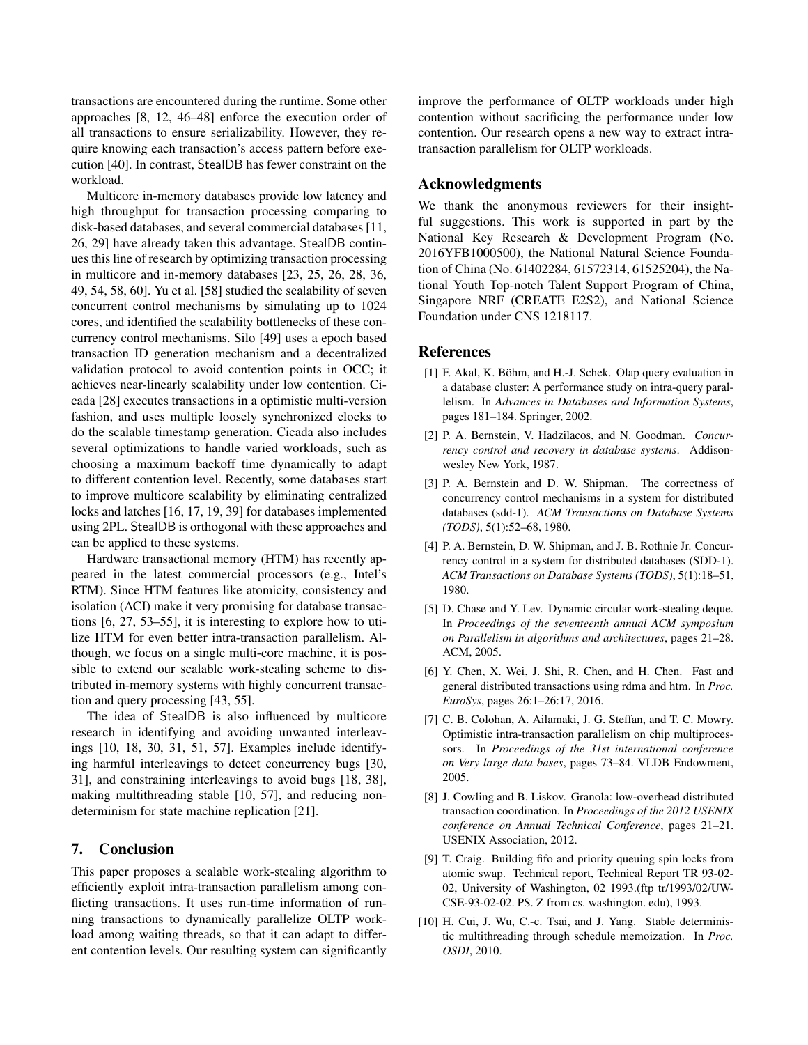transactions are encountered during the runtime. Some other approaches [8, 12, 46–48] enforce the execution order of all transactions to ensure serializability. However, they require knowing each transaction's access pattern before execution [40]. In contrast, StealDB has fewer constraint on the workload.

Multicore in-memory databases provide low latency and high throughput for transaction processing comparing to disk-based databases, and several commercial databases [11, 26, 29] have already taken this advantage. StealDB continues this line of research by optimizing transaction processing in multicore and in-memory databases [23, 25, 26, 28, 36, 49, 54, 58, 60]. Yu et al. [58] studied the scalability of seven concurrent control mechanisms by simulating up to 1024 cores, and identified the scalability bottlenecks of these concurrency control mechanisms. Silo [49] uses a epoch based transaction ID generation mechanism and a decentralized validation protocol to avoid contention points in OCC; it achieves near-linearly scalability under low contention. Cicada [28] executes transactions in a optimistic multi-version fashion, and uses multiple loosely synchronized clocks to do the scalable timestamp generation. Cicada also includes several optimizations to handle varied workloads, such as choosing a maximum backoff time dynamically to adapt to different contention level. Recently, some databases start to improve multicore scalability by eliminating centralized locks and latches [16, 17, 19, 39] for databases implemented using 2PL. StealDB is orthogonal with these approaches and can be applied to these systems.

Hardware transactional memory (HTM) has recently appeared in the latest commercial processors (e.g., Intel's RTM). Since HTM features like atomicity, consistency and isolation (ACI) make it very promising for database transactions [6, 27, 53–55], it is interesting to explore how to utilize HTM for even better intra-transaction parallelism. Although, we focus on a single multi-core machine, it is possible to extend our scalable work-stealing scheme to distributed in-memory systems with highly concurrent transaction and query processing [43, 55].

The idea of StealDB is also influenced by multicore research in identifying and avoiding unwanted interleavings [10, 18, 30, 31, 51, 57]. Examples include identifying harmful interleavings to detect concurrency bugs [30, 31], and constraining interleavings to avoid bugs [18, 38], making multithreading stable [10, 57], and reducing nondeterminism for state machine replication [21].

# 7. Conclusion

This paper proposes a scalable work-stealing algorithm to efficiently exploit intra-transaction parallelism among conflicting transactions. It uses run-time information of running transactions to dynamically parallelize OLTP workload among waiting threads, so that it can adapt to different contention levels. Our resulting system can significantly

improve the performance of OLTP workloads under high contention without sacrificing the performance under low contention. Our research opens a new way to extract intratransaction parallelism for OLTP workloads.

# Acknowledgments

We thank the anonymous reviewers for their insightful suggestions. This work is supported in part by the National Key Research & Development Program (No. 2016YFB1000500), the National Natural Science Foundation of China (No. 61402284, 61572314, 61525204), the National Youth Top-notch Talent Support Program of China, Singapore NRF (CREATE E2S2), and National Science Foundation under CNS 1218117.

## **References**

- [1] F. Akal, K. Böhm, and H.-J. Schek. Olap query evaluation in a database cluster: A performance study on intra-query parallelism. In *Advances in Databases and Information Systems*, pages 181–184. Springer, 2002.
- [2] P. A. Bernstein, V. Hadzilacos, and N. Goodman. *Concurrency control and recovery in database systems*. Addisonwesley New York, 1987.
- [3] P. A. Bernstein and D. W. Shipman. The correctness of concurrency control mechanisms in a system for distributed databases (sdd-1). *ACM Transactions on Database Systems (TODS)*, 5(1):52–68, 1980.
- [4] P. A. Bernstein, D. W. Shipman, and J. B. Rothnie Jr. Concurrency control in a system for distributed databases (SDD-1). *ACM Transactions on Database Systems (TODS)*, 5(1):18–51, 1980.
- [5] D. Chase and Y. Lev. Dynamic circular work-stealing deque. In *Proceedings of the seventeenth annual ACM symposium on Parallelism in algorithms and architectures*, pages 21–28. ACM, 2005.
- [6] Y. Chen, X. Wei, J. Shi, R. Chen, and H. Chen. Fast and general distributed transactions using rdma and htm. In *Proc. EuroSys*, pages 26:1–26:17, 2016.
- [7] C. B. Colohan, A. Ailamaki, J. G. Steffan, and T. C. Mowry. Optimistic intra-transaction parallelism on chip multiprocessors. In *Proceedings of the 31st international conference on Very large data bases*, pages 73–84. VLDB Endowment, 2005.
- [8] J. Cowling and B. Liskov. Granola: low-overhead distributed transaction coordination. In *Proceedings of the 2012 USENIX conference on Annual Technical Conference*, pages 21–21. USENIX Association, 2012.
- [9] T. Craig. Building fifo and priority queuing spin locks from atomic swap. Technical report, Technical Report TR 93-02- 02, University of Washington, 02 1993.(ftp tr/1993/02/UW-CSE-93-02-02. PS. Z from cs. washington. edu), 1993.
- [10] H. Cui, J. Wu, C.-c. Tsai, and J. Yang. Stable deterministic multithreading through schedule memoization. In *Proc. OSDI*, 2010.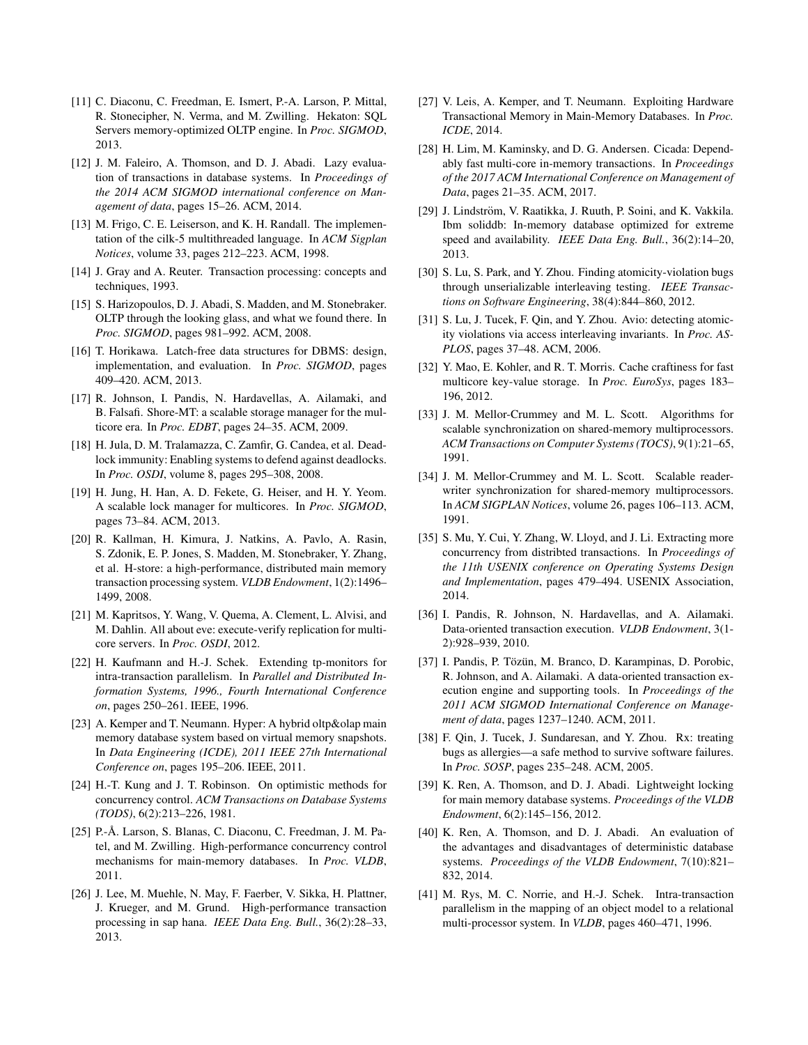- [11] C. Diaconu, C. Freedman, E. Ismert, P.-A. Larson, P. Mittal, R. Stonecipher, N. Verma, and M. Zwilling. Hekaton: SQL Servers memory-optimized OLTP engine. In *Proc. SIGMOD*, 2013.
- [12] J. M. Faleiro, A. Thomson, and D. J. Abadi. Lazy evaluation of transactions in database systems. In *Proceedings of the 2014 ACM SIGMOD international conference on Management of data*, pages 15–26. ACM, 2014.
- [13] M. Frigo, C. E. Leiserson, and K. H. Randall. The implementation of the cilk-5 multithreaded language. In *ACM Sigplan Notices*, volume 33, pages 212–223. ACM, 1998.
- [14] J. Gray and A. Reuter. Transaction processing: concepts and techniques, 1993.
- [15] S. Harizopoulos, D. J. Abadi, S. Madden, and M. Stonebraker. OLTP through the looking glass, and what we found there. In *Proc. SIGMOD*, pages 981–992. ACM, 2008.
- [16] T. Horikawa. Latch-free data structures for DBMS: design, implementation, and evaluation. In *Proc. SIGMOD*, pages 409–420. ACM, 2013.
- [17] R. Johnson, I. Pandis, N. Hardavellas, A. Ailamaki, and B. Falsafi. Shore-MT: a scalable storage manager for the multicore era. In *Proc. EDBT*, pages 24–35. ACM, 2009.
- [18] H. Jula, D. M. Tralamazza, C. Zamfir, G. Candea, et al. Deadlock immunity: Enabling systems to defend against deadlocks. In *Proc. OSDI*, volume 8, pages 295–308, 2008.
- [19] H. Jung, H. Han, A. D. Fekete, G. Heiser, and H. Y. Yeom. A scalable lock manager for multicores. In *Proc. SIGMOD*, pages 73–84. ACM, 2013.
- [20] R. Kallman, H. Kimura, J. Natkins, A. Pavlo, A. Rasin, S. Zdonik, E. P. Jones, S. Madden, M. Stonebraker, Y. Zhang, et al. H-store: a high-performance, distributed main memory transaction processing system. *VLDB Endowment*, 1(2):1496– 1499, 2008.
- [21] M. Kapritsos, Y. Wang, V. Quema, A. Clement, L. Alvisi, and M. Dahlin. All about eve: execute-verify replication for multicore servers. In *Proc. OSDI*, 2012.
- [22] H. Kaufmann and H.-J. Schek. Extending tp-monitors for intra-transaction parallelism. In *Parallel and Distributed Information Systems, 1996., Fourth International Conference on*, pages 250–261. IEEE, 1996.
- [23] A. Kemper and T. Neumann. Hyper: A hybrid oltp&olap main memory database system based on virtual memory snapshots. In *Data Engineering (ICDE), 2011 IEEE 27th International Conference on*, pages 195–206. IEEE, 2011.
- [24] H.-T. Kung and J. T. Robinson. On optimistic methods for concurrency control. *ACM Transactions on Database Systems (TODS)*, 6(2):213–226, 1981.
- [25] P.-Å. Larson, S. Blanas, C. Diaconu, C. Freedman, J. M. Patel, and M. Zwilling. High-performance concurrency control mechanisms for main-memory databases. In *Proc. VLDB*, 2011.
- [26] J. Lee, M. Muehle, N. May, F. Faerber, V. Sikka, H. Plattner, J. Krueger, and M. Grund. High-performance transaction processing in sap hana. *IEEE Data Eng. Bull.*, 36(2):28–33, 2013.
- [27] V. Leis, A. Kemper, and T. Neumann. Exploiting Hardware Transactional Memory in Main-Memory Databases. In *Proc. ICDE*, 2014.
- [28] H. Lim, M. Kaminsky, and D. G. Andersen. Cicada: Dependably fast multi-core in-memory transactions. In *Proceedings of the 2017 ACM International Conference on Management of Data*, pages 21–35. ACM, 2017.
- [29] J. Lindström, V. Raatikka, J. Ruuth, P. Soini, and K. Vakkila. Ibm soliddb: In-memory database optimized for extreme speed and availability. *IEEE Data Eng. Bull.*, 36(2):14–20, 2013.
- [30] S. Lu, S. Park, and Y. Zhou. Finding atomicity-violation bugs through unserializable interleaving testing. *IEEE Transactions on Software Engineering*, 38(4):844–860, 2012.
- [31] S. Lu, J. Tucek, F. Qin, and Y. Zhou. Avio: detecting atomicity violations via access interleaving invariants. In *Proc. AS-PLOS*, pages 37–48. ACM, 2006.
- [32] Y. Mao, E. Kohler, and R. T. Morris. Cache craftiness for fast multicore key-value storage. In *Proc. EuroSys*, pages 183– 196, 2012.
- [33] J. M. Mellor-Crummey and M. L. Scott. Algorithms for scalable synchronization on shared-memory multiprocessors. *ACM Transactions on Computer Systems (TOCS)*, 9(1):21–65, 1991.
- [34] J. M. Mellor-Crummey and M. L. Scott. Scalable readerwriter synchronization for shared-memory multiprocessors. In *ACM SIGPLAN Notices*, volume 26, pages 106–113. ACM, 1991.
- [35] S. Mu, Y. Cui, Y. Zhang, W. Lloyd, and J. Li. Extracting more concurrency from distribted transactions. In *Proceedings of the 11th USENIX conference on Operating Systems Design and Implementation*, pages 479–494. USENIX Association, 2014.
- [36] I. Pandis, R. Johnson, N. Hardavellas, and A. Ailamaki. Data-oriented transaction execution. *VLDB Endowment*, 3(1- 2):928–939, 2010.
- [37] I. Pandis, P. Tözün, M. Branco, D. Karampinas, D. Porobic, R. Johnson, and A. Ailamaki. A data-oriented transaction execution engine and supporting tools. In *Proceedings of the 2011 ACM SIGMOD International Conference on Management of data*, pages 1237–1240. ACM, 2011.
- [38] F. Qin, J. Tucek, J. Sundaresan, and Y. Zhou. Rx: treating bugs as allergies—a safe method to survive software failures. In *Proc. SOSP*, pages 235–248. ACM, 2005.
- [39] K. Ren, A. Thomson, and D. J. Abadi. Lightweight locking for main memory database systems. *Proceedings of the VLDB Endowment*, 6(2):145–156, 2012.
- [40] K. Ren, A. Thomson, and D. J. Abadi. An evaluation of the advantages and disadvantages of deterministic database systems. *Proceedings of the VLDB Endowment*, 7(10):821– 832, 2014.
- [41] M. Rys, M. C. Norrie, and H.-J. Schek. Intra-transaction parallelism in the mapping of an object model to a relational multi-processor system. In *VLDB*, pages 460–471, 1996.